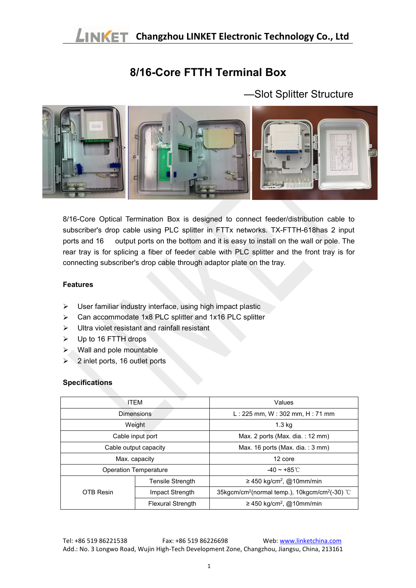## **8/16-Core FTTH Terminal Box**

—Slot Splitter Structure



8/16-Core Optical Termination Box is designed to connect feeder/distribution cable to subscriber's drop cable using PLC splitter in FTTx networks. TX-FTTH-618has 2 input ports and 16 output ports on the bottom and it is easy to install on the wall or pole. The rear tray is for splicing a fiber of feeder cable with PLC splitter and the front tray is for connecting subscriber's drop cable through adaptor plate on the tray.

## **Features**

- $\triangleright$  User familiar industry interface, using high impact plastic
- $\triangleright$  Can accommodate 1x8 PLC splitter and 1x16 PLC splitter
- $\triangleright$  Ultra violet resistant and rainfall resistant
- $\triangleright$  Up to 16 FTTH drops
- $\triangleright$  Wall and pole mountable
- $> 2$  inlet ports, 16 outlet ports

## **Specifications**

| <b>ITEM</b>                  |                          | Values                                                                 |  |
|------------------------------|--------------------------|------------------------------------------------------------------------|--|
| <b>Dimensions</b>            |                          | L: 225 mm, W: 302 mm, H: 71 mm                                         |  |
| Weight                       |                          | 1.3 <sub>kq</sub>                                                      |  |
| Cable input port             |                          | Max. 2 ports (Max. dia.: $12 \text{ mm}$ )                             |  |
| Cable output capacity        |                          | Max. 16 ports (Max. dia.: 3 mm)                                        |  |
| Max. capacity                |                          | 12 core                                                                |  |
| <b>Operation Temperature</b> |                          | $-40 \sim +85^{\circ}$ C                                               |  |
| OTB Resin                    | Tensile Strength         | $\geq$ 450 kg/cm <sup>2</sup> , @10mm/min                              |  |
|                              | Impact Strength          | 35kgcm/cm <sup>2</sup> (normal temp.), 10kgcm/cm <sup>2</sup> (-30) °C |  |
|                              | <b>Flexural Strength</b> | $\geq$ 450 kg/cm <sup>2</sup> , @10mm/min                              |  |